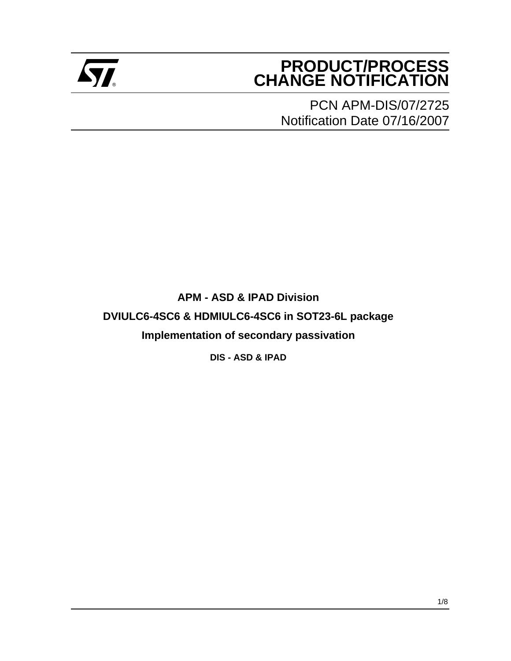

# **PRODUCT/PROCESS Example 2** CHANGE NOTIFICATION

PCN APM-DIS/07/2725 Notification Date 07/16/2007

**APM - ASD & IPAD Division DVIULC6-4SC6 & HDMIULC6-4SC6 in SOT23-6L package Implementation of secondary passivation**

**DIS - ASD & IPAD**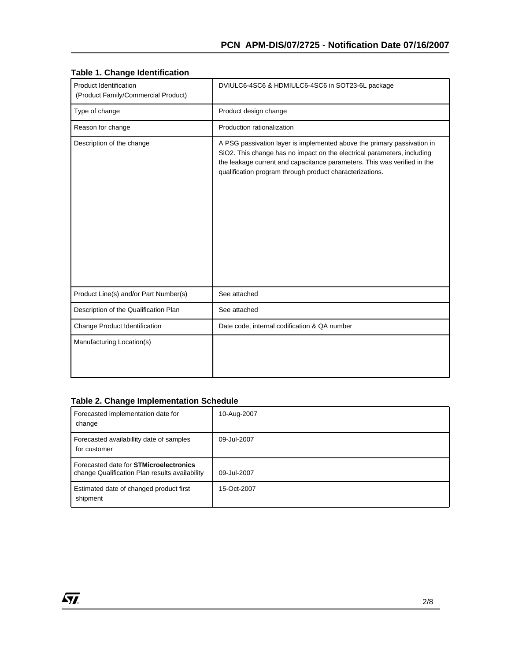| Product Identification<br>(Product Family/Commercial Product) | DVIULC6-4SC6 & HDMIULC6-4SC6 in SOT23-6L package                                                                                                                                                                                                                                           |
|---------------------------------------------------------------|--------------------------------------------------------------------------------------------------------------------------------------------------------------------------------------------------------------------------------------------------------------------------------------------|
| Type of change                                                | Product design change                                                                                                                                                                                                                                                                      |
| Reason for change                                             | Production rationalization                                                                                                                                                                                                                                                                 |
| Description of the change                                     | A PSG passivation layer is implemented above the primary passivation in<br>SiO2. This change has no impact on the electrical parameters, including<br>the leakage current and capacitance parameters. This was verified in the<br>qualification program through product characterizations. |
| Product Line(s) and/or Part Number(s)                         | See attached                                                                                                                                                                                                                                                                               |
| Description of the Qualification Plan                         | See attached                                                                                                                                                                                                                                                                               |
| Change Product Identification                                 | Date code, internal codification & QA number                                                                                                                                                                                                                                               |
| Manufacturing Location(s)                                     |                                                                                                                                                                                                                                                                                            |

#### **Table 1. Change Identification**

### **Table 2. Change Implementation Schedule**

| Forecasted implementation date for<br>change                                                    | 10-Aug-2007 |
|-------------------------------------------------------------------------------------------------|-------------|
| Forecasted availabillity date of samples<br>for customer                                        | 09-Jul-2007 |
| Forecasted date for <b>STMicroelectronics</b><br>change Qualification Plan results availability | 09-Jul-2007 |
| Estimated date of changed product first<br>shipment                                             | 15-Oct-2007 |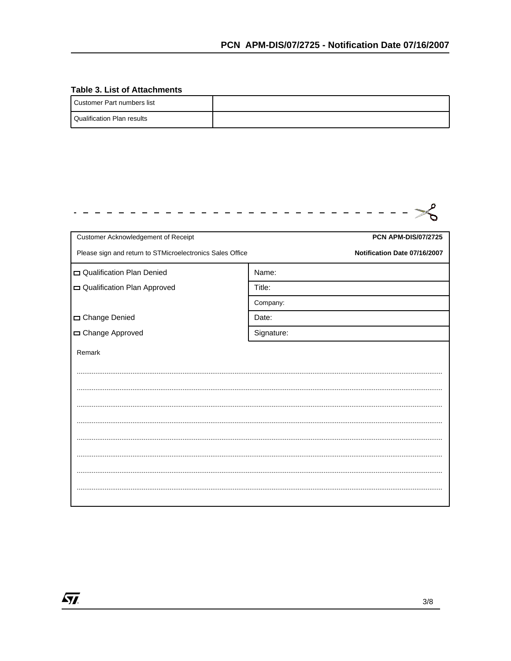#### **Table 3. List of Attachments**

 $\sqrt{M}$ 

| Customer Part numbers list   |  |
|------------------------------|--|
| l Qualification Plan results |  |

| Customer Acknowledgement of Receipt                       | <b>PCN APM-DIS/07/2725</b>   |
|-----------------------------------------------------------|------------------------------|
| Please sign and return to STMicroelectronics Sales Office | Notification Date 07/16/2007 |
| Qualification Plan Denied                                 | Name:                        |
| Qualification Plan Approved                               | Title:                       |
|                                                           | Company:                     |
| Change Denied                                             | Date:                        |
| □ Change Approved                                         | Signature:                   |
| Remark                                                    |                              |
|                                                           |                              |
|                                                           |                              |
|                                                           |                              |
|                                                           |                              |
|                                                           |                              |
|                                                           |                              |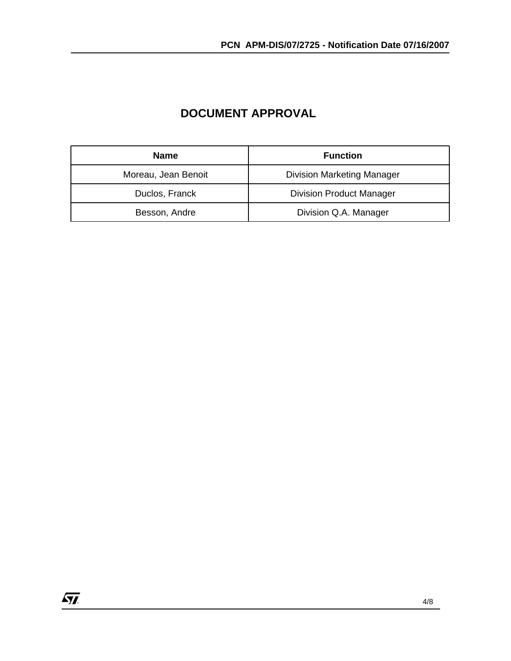## **DOCUMENT APPROVAL**

| <b>Name</b>         | <b>Function</b>                   |  |  |
|---------------------|-----------------------------------|--|--|
| Moreau, Jean Benoit | <b>Division Marketing Manager</b> |  |  |
| Duclos, Franck      | <b>Division Product Manager</b>   |  |  |
| Besson, Andre       | Division Q.A. Manager             |  |  |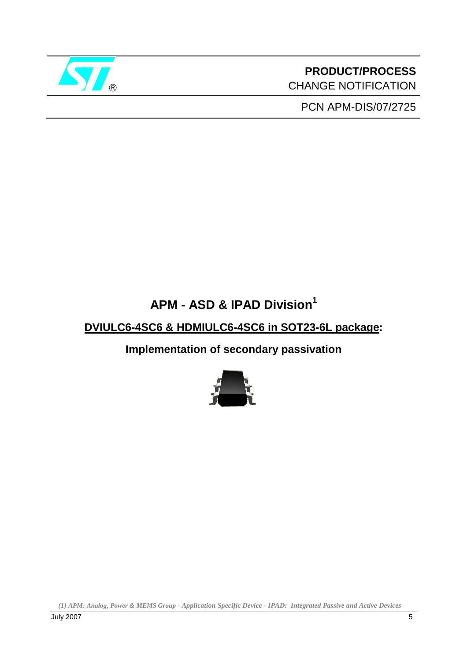

**PRODUCT/PROCESS** CHANGE NOTIFICATION

PCN APM-DIS/07/2725

# **APM - ASD & IPAD Division1**

# **DVIULC6-4SC6 & HDMIULC6-4SC6 in SOT23-6L package:**

**Implementation of secondary passivation** 



*(1) APM: Analog, Power & MEMS Group - Application Specific Device - IPAD: Integrated Passive and Active Devices*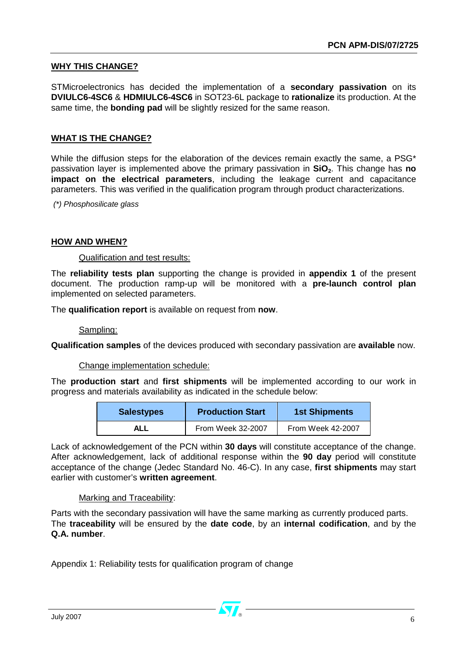### **WHY THIS CHANGE?**

STMicroelectronics has decided the implementation of a **secondary passivation** on its **DVIULC6-4SC6** & **HDMIULC6-4SC6** in SOT23-6L package to **rationalize** its production. At the same time, the **bonding pad** will be slightly resized for the same reason.

### **WHAT IS THE CHANGE?**

While the diffusion steps for the elaboration of the devices remain exactly the same, a PSG\* passivation layer is implemented above the primary passivation in **SiO**<sub>2</sub>. This change has **no impact on the electrical parameters**, including the leakage current and capacitance parameters. This was verified in the qualification program through product characterizations.

 *(\*) Phosphosilicate glass* 

### **HOW AND WHEN?**

#### Qualification and test results:

The **reliability tests plan** supporting the change is provided in **appendix 1** of the present document. The production ramp-up will be monitored with a **pre-launch control plan**  implemented on selected parameters.

The **qualification report** is available on request from **now**.

Sampling:

**Qualification samples** of the devices produced with secondary passivation are **available** now.

Change implementation schedule:

The **production start** and **first shipments** will be implemented according to our work in progress and materials availability as indicated in the schedule below:

| <b>Salestypes</b> | <b>Production Start</b> | <b>1st Shipments</b> |  |
|-------------------|-------------------------|----------------------|--|
| ALL               | From Week 32-2007       | From Week 42-2007    |  |

Lack of acknowledgement of the PCN within **30 days** will constitute acceptance of the change. After acknowledgement, lack of additional response within the **90 day** period will constitute acceptance of the change (Jedec Standard No. 46-C). In any case, **first shipments** may start earlier with customer's **written agreement**.

### Marking and Traceability:

Parts with the secondary passivation will have the same marking as currently produced parts. The **traceability** will be ensured by the **date code**, by an **internal codification**, and by the **Q.A. number**.

Appendix 1: Reliability tests for qualification program of change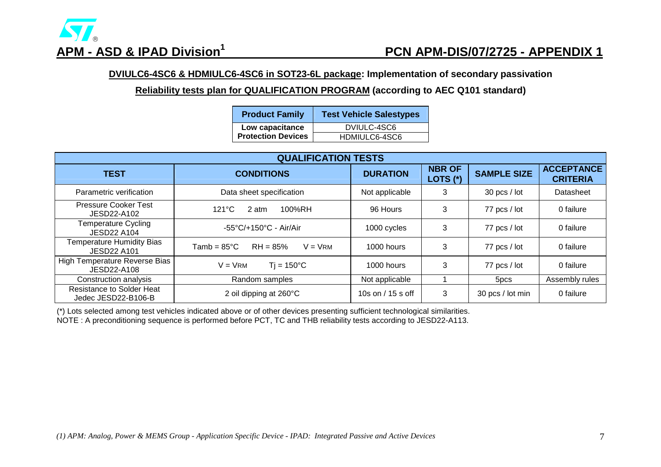

# **APM - ASD & IPAD Division1 PCN APM-DIS/07/2725 - APPENDIX 1**

**DVIULC6-4SC6 & HDMIULC6-4SC6 in SOT23-6L package: Implementation of secondary passivation** 

**Reliability tests plan for QUALIFICATION PROGRAM (according to AEC Q101 standard)**

| <b>Product Family</b>     | <b>Test Vehicle Salestypes</b> |  |  |
|---------------------------|--------------------------------|--|--|
| Low capacitance           | DVIULC-4SC6                    |  |  |
| <b>Protection Devices</b> | HDMIULC6-4SC6                  |  |  |

| <b>QUALIFICATION TESTS</b>                              |                                                  |                     |                           |                    |                                      |
|---------------------------------------------------------|--------------------------------------------------|---------------------|---------------------------|--------------------|--------------------------------------|
| <b>TEST</b>                                             | <b>CONDITIONS</b>                                | <b>DURATION</b>     | <b>NBR OF</b><br>LOTS (*) | <b>SAMPLE SIZE</b> | <b>ACCEPTANCE</b><br><b>CRITERIA</b> |
| Parametric verification                                 | Data sheet specification                         | Not applicable      | 3                         | $30$ pcs / lot     | Datasheet                            |
| <b>Pressure Cooker Test</b><br>JESD22-A102              | $121^{\circ}$ C<br>100%RH<br>2 atm               | 96 Hours            | 3                         | 77 pcs / lot       | 0 failure                            |
| Temperature Cycling<br><b>JESD22 A104</b>               | $-55^{\circ}$ C/+150 $^{\circ}$ C - Air/Air      | 1000 cycles         | 3                         | 77 pcs / lot       | 0 failure                            |
| <b>Temperature Humidity Bias</b><br><b>JESD22 A101</b>  | $RH = 85%$<br>$V = V$ RM<br>$Tamb = 85^{\circ}C$ | 1000 hours          | 3                         | 77 pcs / lot       | 0 failure                            |
| High Temperature Reverse Bias<br>JESD22-A108            | $Ti = 150^{\circ}C$<br>$V = V$ RM                | 1000 hours          | 3                         | 77 pcs / lot       | 0 failure                            |
| Construction analysis                                   | Random samples                                   | Not applicable      |                           | 5 <sub>pcs</sub>   | Assembly rules                       |
| <b>Resistance to Solder Heat</b><br>Jedec JESD22-B106-B | 2 oil dipping at 260°C                           | 10s on $/$ 15 s off | 3                         | 30 pcs / lot min   | 0 failure                            |

(\*) Lots selected among test vehicles indicated above or of other devices presenting sufficient technological similarities.

NOTE : A preconditioning sequence is performed before PCT, TC and THB reliability tests according to JESD22-A113.